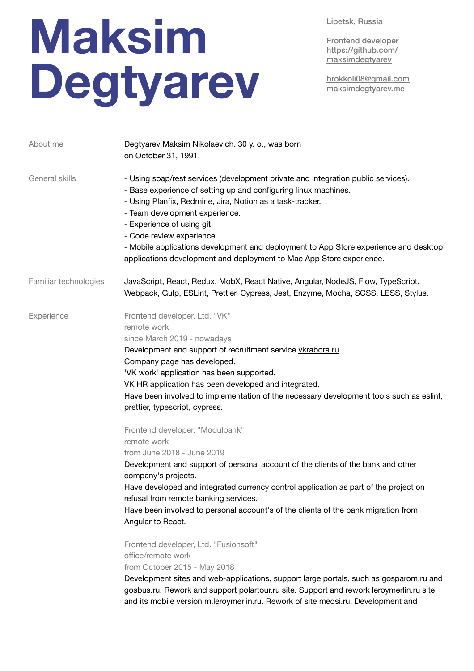Lipetsk, Russia

## Frontend developer [https://github.com/](https://github.com/maksimdegtyarev) [maksimdegtyarev](https://github.com/maksimdegtyarev)

brokkoli08@gmail.com maksimdegtyarev.me

| About me              | Degtyarev Maksim Nikolaevich. 30 y. o., was born<br>on October 31, 1991.                                                                                                                                                                                                                                                                                                                                                                                                                                                                                                                                                                                                                                                                                                                                                                                                                                                                                                                                                                                                                                                                                                                                                   |
|-----------------------|----------------------------------------------------------------------------------------------------------------------------------------------------------------------------------------------------------------------------------------------------------------------------------------------------------------------------------------------------------------------------------------------------------------------------------------------------------------------------------------------------------------------------------------------------------------------------------------------------------------------------------------------------------------------------------------------------------------------------------------------------------------------------------------------------------------------------------------------------------------------------------------------------------------------------------------------------------------------------------------------------------------------------------------------------------------------------------------------------------------------------------------------------------------------------------------------------------------------------|
| General skills        | - Using soap/rest services (development private and integration public services).<br>- Base experience of setting up and configuring linux machines.<br>- Using Planfix, Redmine, Jira, Notion as a task-tracker.<br>- Team development experience.<br>- Experience of using git.<br>- Code review experience.<br>- Mobile applications development and deployment to App Store experience and desktop<br>applications development and deployment to Mac App Store experience.                                                                                                                                                                                                                                                                                                                                                                                                                                                                                                                                                                                                                                                                                                                                             |
| Familiar technologies | JavaScript, React, Redux, MobX, React Native, Angular, NodeJS, Flow, TypeScript,<br>Webpack, Gulp, ESLint, Prettier, Cypress, Jest, Enzyme, Mocha, SCSS, LESS, Stylus.                                                                                                                                                                                                                                                                                                                                                                                                                                                                                                                                                                                                                                                                                                                                                                                                                                                                                                                                                                                                                                                     |
| Experience            | Frontend developer, Ltd. "VK"<br>remote work<br>since March 2019 - nowadays<br>Development and support of recruitment service vkrabora.ru<br>Company page has developed.<br>'VK work' application has been supported.<br>VK HR application has been developed and integrated.<br>Have been involved to implementation of the necessary development tools such as eslint,<br>prettier, typescript, cypress.<br>Frontend developer, "Modulbank"<br>remote work<br>from June 2018 - June 2019<br>Development and support of personal account of the clients of the bank and other<br>company's projects.<br>Have developed and integrated currency control application as part of the project on<br>refusal from remote banking services.<br>Have been involved to personal account's of the clients of the bank migration from<br>Angular to React.<br>Frontend developer, Ltd. "Fusionsoft"<br>office/remote work<br>from October 2015 - May 2018<br>Development sites and web-applications, support large portals, such as gosparom.ru and<br>gosbus.ru. Rework and support polartour.ru site. Support and rework leroymerlin.ru site<br>and its mobile version m.leroymerlin.ru. Rework of site medsi.ru. Development and |

## **Maksim Degtyarev**